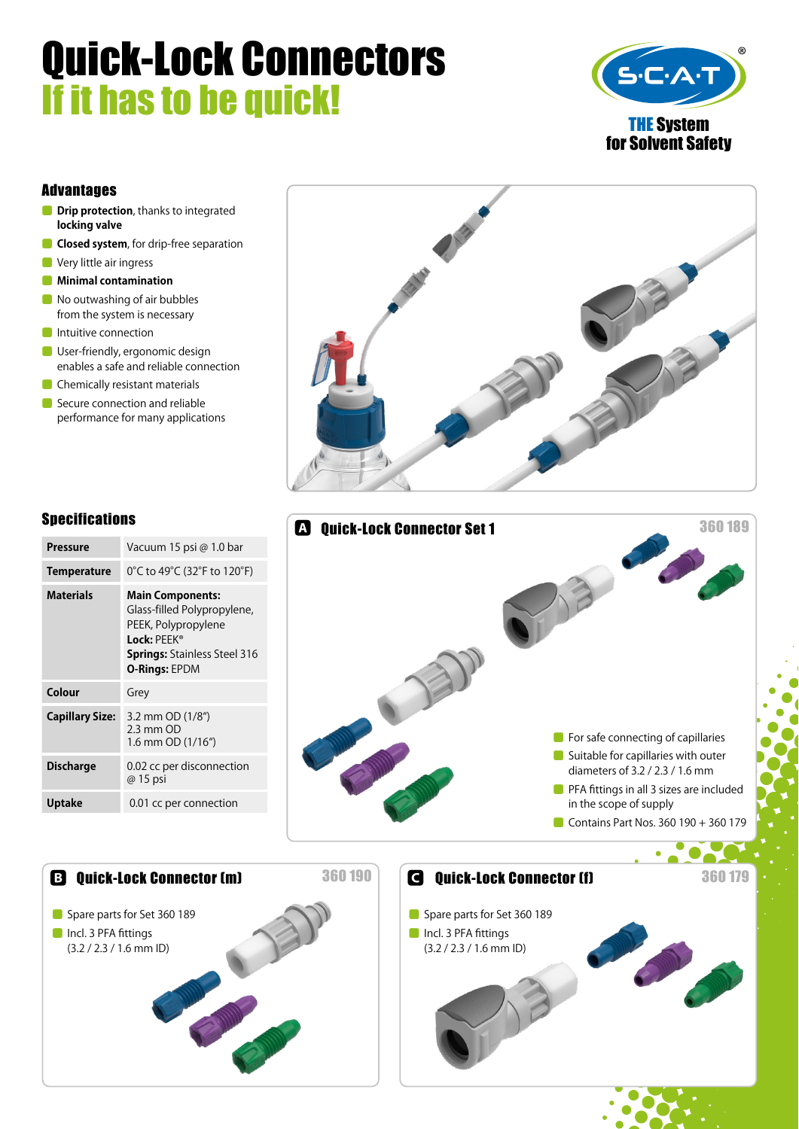# Quick-Lock Connectors If it has to be quick!



#### Advantages

- **ODrip protection**, thanks to integrated **locking valve**
- ⹅ **Closed system**, for drip-free separation
- **C** Very little air ingress
- ⹅ **Minimal contamination**
- No outwashing of air bubbles from the system is necessary
- **O** Intuitive connection
- **O** User-friendly, ergonomic design enables a safe and reliable connection
- **Chemically resistant materials**
- Secure connection and reliable performance for many applications





| <b>Pressure</b>        | Vacuum 15 psi @ 1.0 bar                                                                                                                                     |  |
|------------------------|-------------------------------------------------------------------------------------------------------------------------------------------------------------|--|
| <b>Temperature</b>     | 0°C to 49°C (32°F to 120°F)                                                                                                                                 |  |
| <b>Materials</b>       | <b>Main Components:</b><br>Glass-filled Polypropylene,<br>PEEK, Polypropylene<br>Lock: PFFK®<br><b>Springs:</b> Stainless Steel 316<br><b>O-Rings: EPDM</b> |  |
| Colour                 | Grey                                                                                                                                                        |  |
| <b>Capillary Size:</b> | 3.2 mm OD (1/8")<br>$2.3$ mm $OD$<br>1.6 mm OD (1/16")                                                                                                      |  |
|                        |                                                                                                                                                             |  |
| <b>Discharge</b>       | 0.02 cc per disconnection<br>@ 15 psi                                                                                                                       |  |
| <b>Uptake</b>          | 0.01 cc per connection                                                                                                                                      |  |

Spare parts for Set 360 189

**■** Incl. 3 PFA fittings (3.2 / 2.3 / 1.6 mm ID)